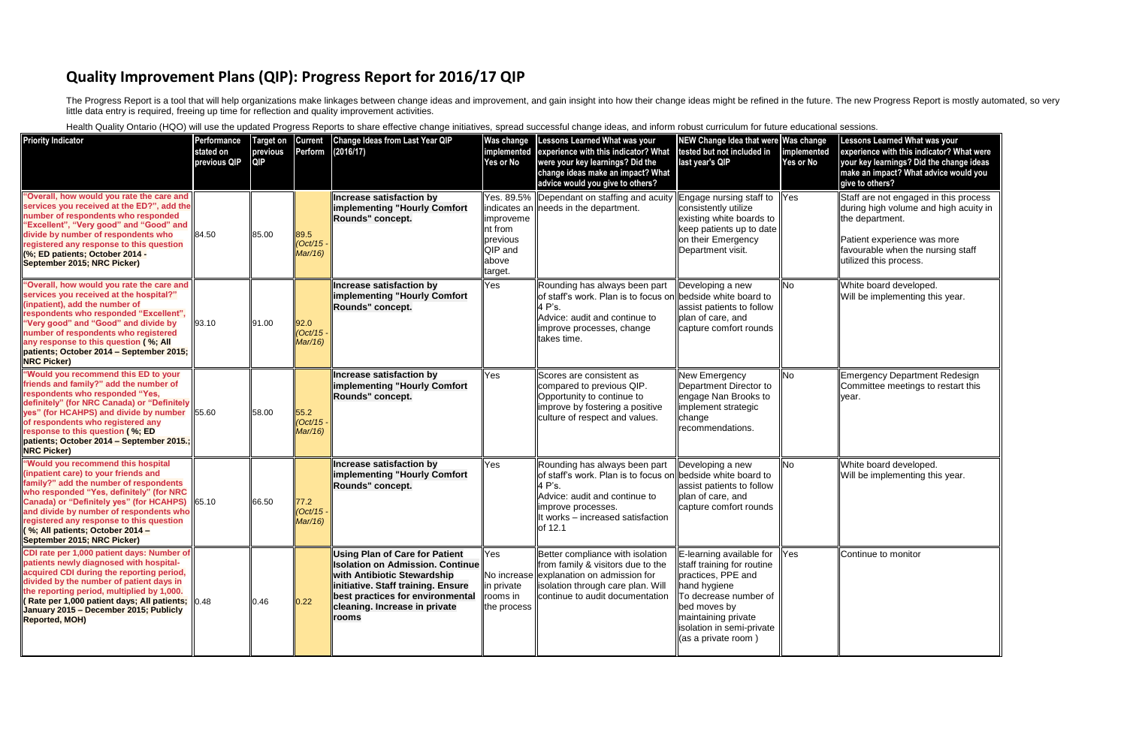## **Quality Improvement Plans (QIP): Progress Report for 2016/17 QIP**

The Progress Report is a tool that will help organizations make linkages between change ideas and improvement, and gain insight into how their change ideas might be refined in the future. The new Progress Report is mostly little data entry is required, freeing up time for reflection and quality improvement activities.

Health Quality Ontario (HQO) will use the updated Progress Reports to share effective change initiatives, spread successful change ideas, and inform robust curriculum for future education

| <b>Priority Indicator</b>                                                                                                                                                                                                                                                                                                                                                  | Performance<br>stated on<br>previous QIP | <b>QIP</b> |                                  | Target on Current Change Ideas from Last Year QIP<br>previous Perform (2016/17)                                                                                                                                                            | Was change<br>implemented<br>Yes or No                            | Lessons Learned What was your<br>experience with this indicator? What<br>were your key learnings? Did the<br>change ideas make an impact? What<br>advice would you give to others?                            | <b>NEW Change Idea that were Was change</b><br>tested but not included in<br>last year's QIP                                                                                                                                                                  | implemented<br>Yes or No | <b>Lessons Learned What was your</b><br>experience with this indicator? What were<br>your key learnings? Did the change ideas<br>make an impact? What advice would you<br>give to others?       |
|----------------------------------------------------------------------------------------------------------------------------------------------------------------------------------------------------------------------------------------------------------------------------------------------------------------------------------------------------------------------------|------------------------------------------|------------|----------------------------------|--------------------------------------------------------------------------------------------------------------------------------------------------------------------------------------------------------------------------------------------|-------------------------------------------------------------------|---------------------------------------------------------------------------------------------------------------------------------------------------------------------------------------------------------------|---------------------------------------------------------------------------------------------------------------------------------------------------------------------------------------------------------------------------------------------------------------|--------------------------|-------------------------------------------------------------------------------------------------------------------------------------------------------------------------------------------------|
| 'Overall, how would you rate the care and<br>services you received at the ED?", add the<br>number of respondents who responded<br>'Excellent", "Very good" and "Good" and<br>divide by number of respondents who<br>registered any response to this question<br>(%; ED patients; October 2014 -<br>September 2015; NRC Picker)                                             | 84.50                                    | 85.00      | 89.5<br>$(Oct/15 -$<br>Mar/16)   | Increase satisfaction by<br>implementing "Hourly Comfort<br>Rounds" concept.                                                                                                                                                               | limproveme<br>Int from<br>previous<br>QIP and<br>above<br>target. | Yes. 89.5%  Dependant on staffing and acuity<br>indicates an needs in the department.                                                                                                                         | Engage nursing staff to   Yes<br>consistently utilize<br>existing white boards to<br>keep patients up to date<br>on their Emergency<br>Department visit.                                                                                                      |                          | Staff are not engaged in this process<br>during high volume and high acuity in<br>the department.<br>Patient experience was more<br>favourable when the nursing staff<br>utilized this process. |
| 'Overall, how would you rate the care and<br>services you received at the hospital?"<br>(inpatient), add the number of<br>espondents who responded "Excellent",<br>Very good" and "Good" and divide by<br>number of respondents who registered<br>any response to this question (%; All<br>patients; October 2014 - September 2015;<br><b>NRC Picker)</b>                  | 93.10                                    | 91.00      | 92.0<br>$(Oct/15 -$<br>Mar/16)   | Increase satisfaction by<br>implementing "Hourly Comfort<br>Rounds" concept.                                                                                                                                                               | Yes                                                               | Rounding has always been part<br>of staff's work. Plan is to focus on bedside white board to<br>4 P's.<br>Advice: audit and continue to<br>improve processes, change<br>takes time.                           | Developing a new<br>assist patients to follow<br>plan of care, and<br>capture comfort rounds                                                                                                                                                                  | l No                     | White board developed.<br>Will be implementing this year.                                                                                                                                       |
| 'Would you recommend this ED to your<br>friends and family?" add the number of<br>respondents who responded "Yes,<br>definitely" (for NRC Canada) or "Definitely<br>yes" (for HCAHPS) and divide by number<br>of respondents who registered any<br>response to this question (%; ED<br>patients; October 2014 - September 2015.;<br><b>NRC Picker)</b>                     | 55.60                                    | 58.00      | 55.2<br>$(Oct/15 -$<br>Mar/16)   | Increase satisfaction by<br>implementing "Hourly Comfort<br>Rounds" concept.                                                                                                                                                               | Yes                                                               | Scores are consistent as<br>compared to previous QIP.<br>Opportunity to continue to<br>improve by fostering a positive<br>culture of respect and values.                                                      | <b>New Emergency</b><br>Department Director to<br>engage Nan Brooks to<br>implement strategic<br>change<br>recommendations.                                                                                                                                   | <b>INo</b>               | <b>Emergency Department Redesign</b><br>Committee meetings to restart this<br>vear.                                                                                                             |
| "Would you recommend this hospital<br>inpatient care) to your friends and<br>family?" add the number of respondents<br>who responded "Yes, definitely" (for NRC<br>Canada) or "Definitely yes" (for HCAHPS) 65.10<br>and divide by number of respondents who<br>registered any response to this question<br>%; All patients; October 2014 -<br>September 2015; NRC Picker) |                                          | 66.50      | $77.2$<br>$(Oct/15 -$<br>Mar/16) | Increase satisfaction by<br>implementing "Hourly Comfort<br>Rounds" concept.                                                                                                                                                               | Yes                                                               | Rounding has always been part<br>of staff's work. Plan is to focus on bedside white board to<br>4 P's.<br>Advice: audit and continue to<br>improve processes.<br>It works - increased satisfaction<br>of 12.1 | Developing a new<br>assist patients to follow<br>plan of care, and<br>capture comfort rounds                                                                                                                                                                  | <b>No</b>                | White board developed.<br>Will be implementing this year.                                                                                                                                       |
| CDI rate per 1,000 patient days: Number of<br>patients newly diagnosed with hospital-<br>acquired CDI during the reporting period,<br>divided by the number of patient days in<br>the reporting period, multiplied by 1,000.<br>Rate per 1,000 patient days; All patients;  0.48<br>January 2015 - December 2015; Publicly<br><b>Reported, MOH)</b>                        |                                          | 0.46       | 0.22                             | <b>Using Plan of Care for Patient</b><br><b>Isolation on Admission. Continue</b><br>with Antibiotic Stewardship<br>initiative. Staff training. Ensure<br><b>best practices for environmental</b><br>cleaning. Increase in private<br>rooms | Yes<br>in private<br>rooms in<br>the process                      | Better compliance with isolation<br>from family & visitors due to the<br>No increase explanation on admission for<br>solation through care plan. Will<br>continue to audit documentation                      | $\mathsf{E}\mathsf{E}$ -learning available for $\mathsf{P}\mathsf{F}$<br>staff training for routine<br>practices, PPE and<br>hand hygiene<br>To decrease number of<br>bed moves by<br>maintaining private<br>isolation in semi-private<br>(as a private room) |                          | Continue to monitor                                                                                                                                                                             |

| ıal sessions. |
|---------------|